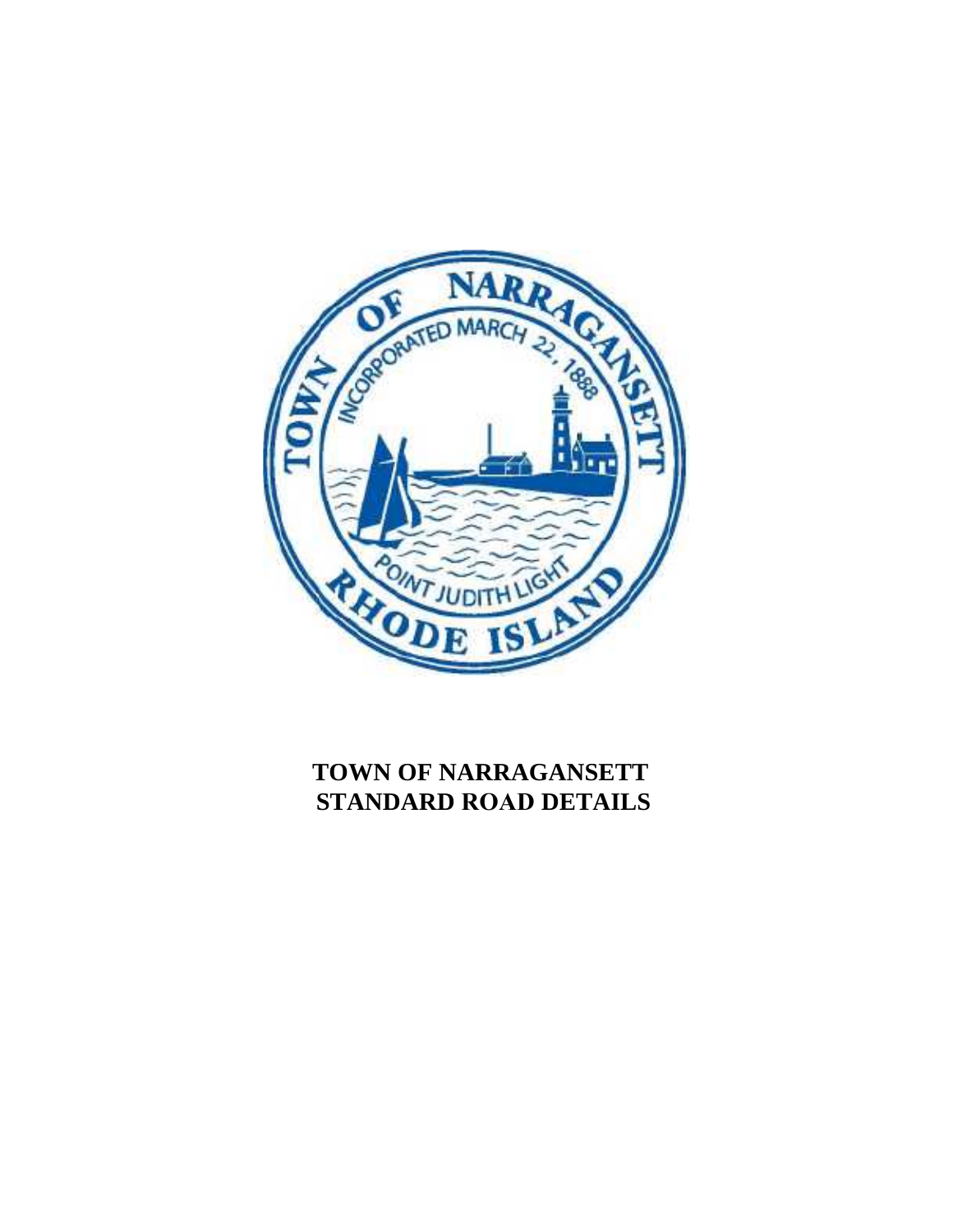

## **TOWN OF NARRAGANSETT STANDARD ROAD DETAILS**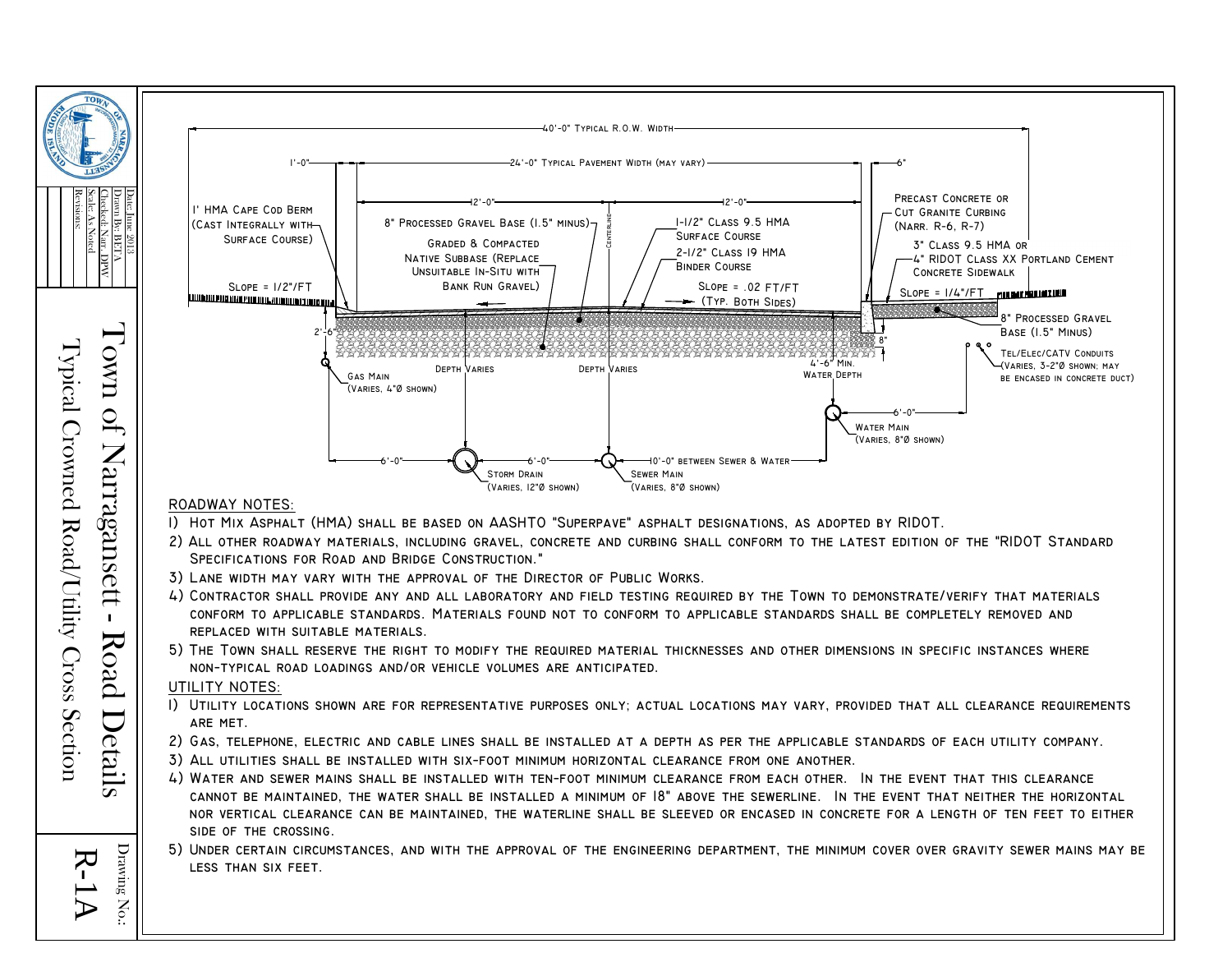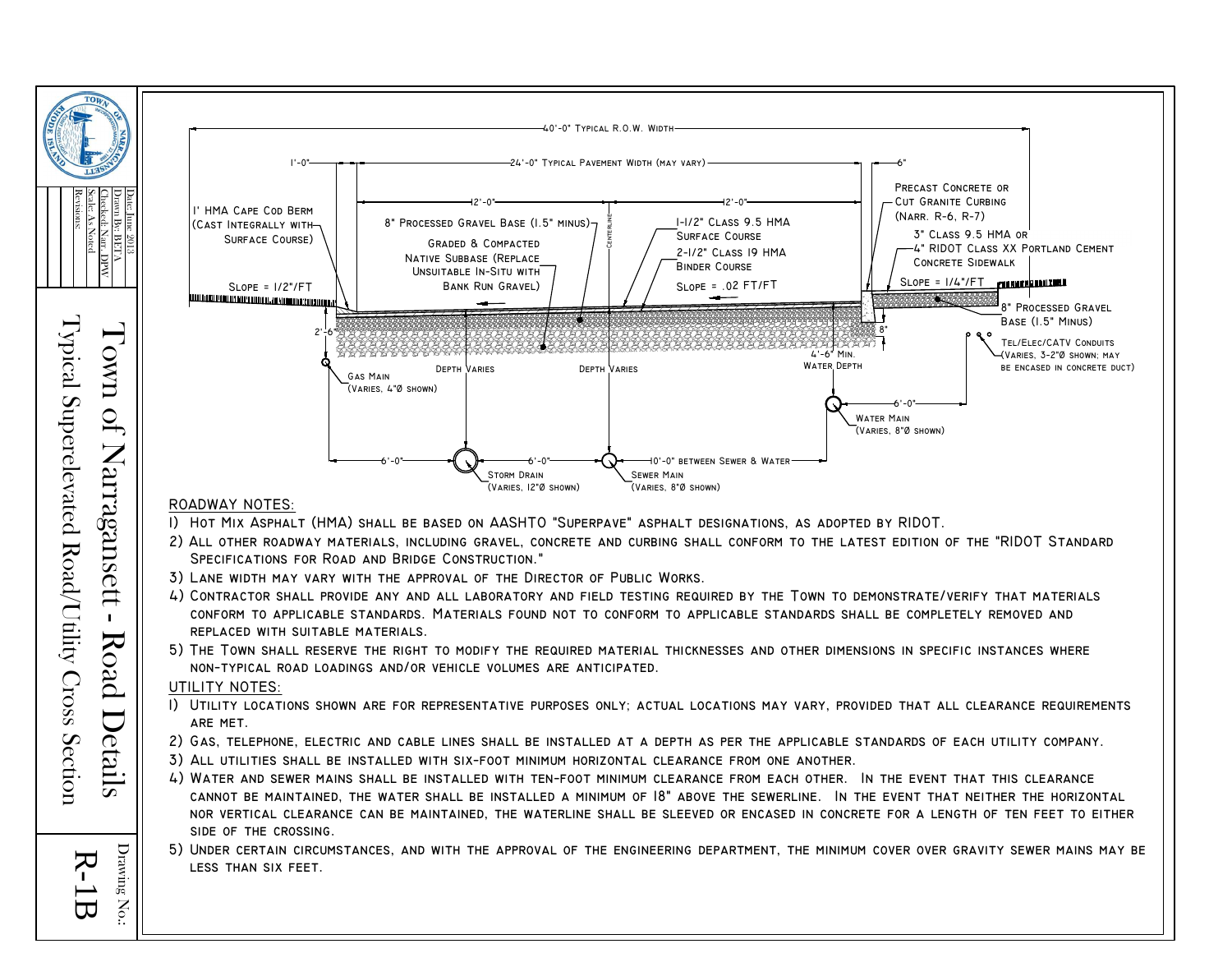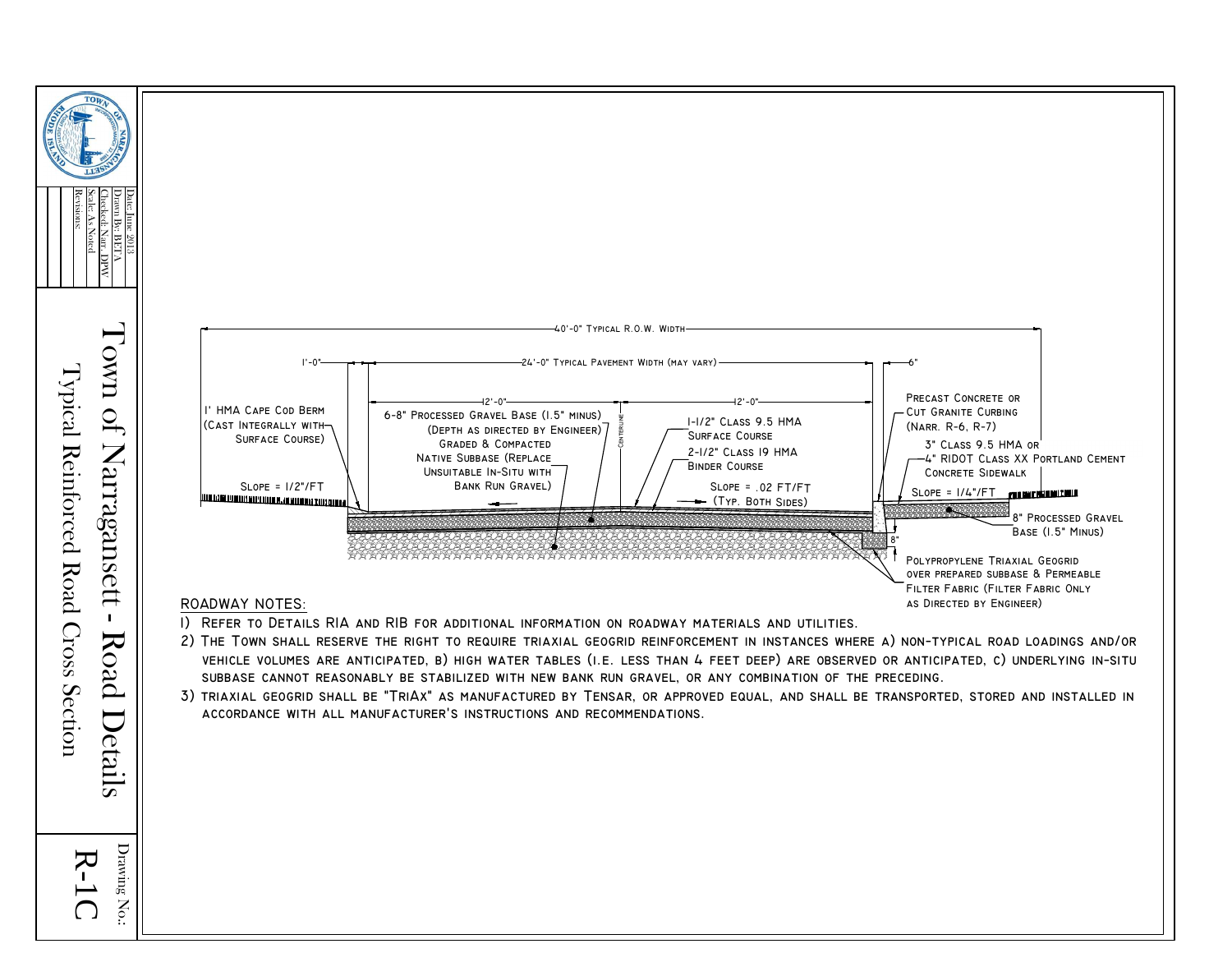

Typical Reinforced Road Cross Section Details

R-

 $\mathbf{D}$ raving

 $\rm N_{O}$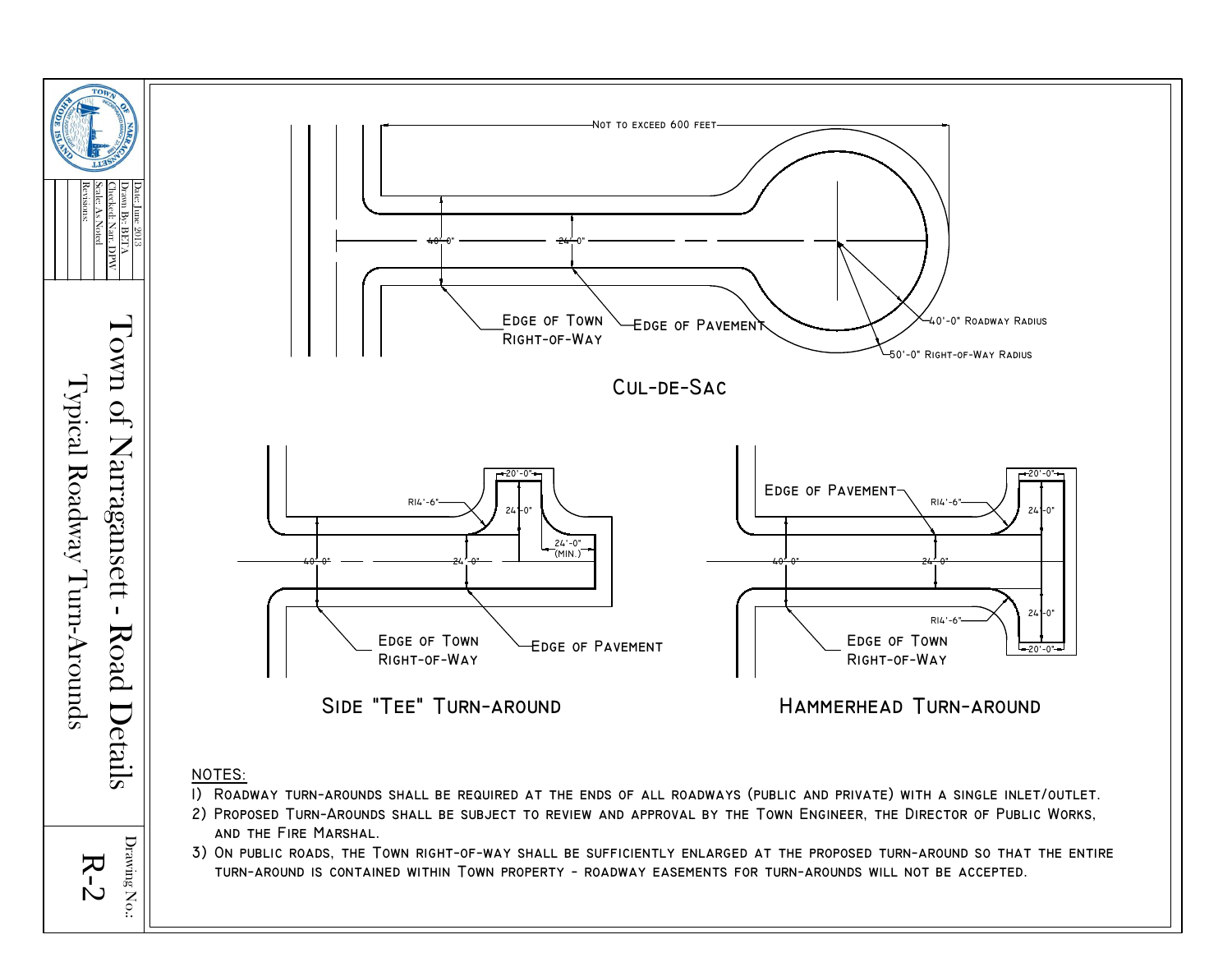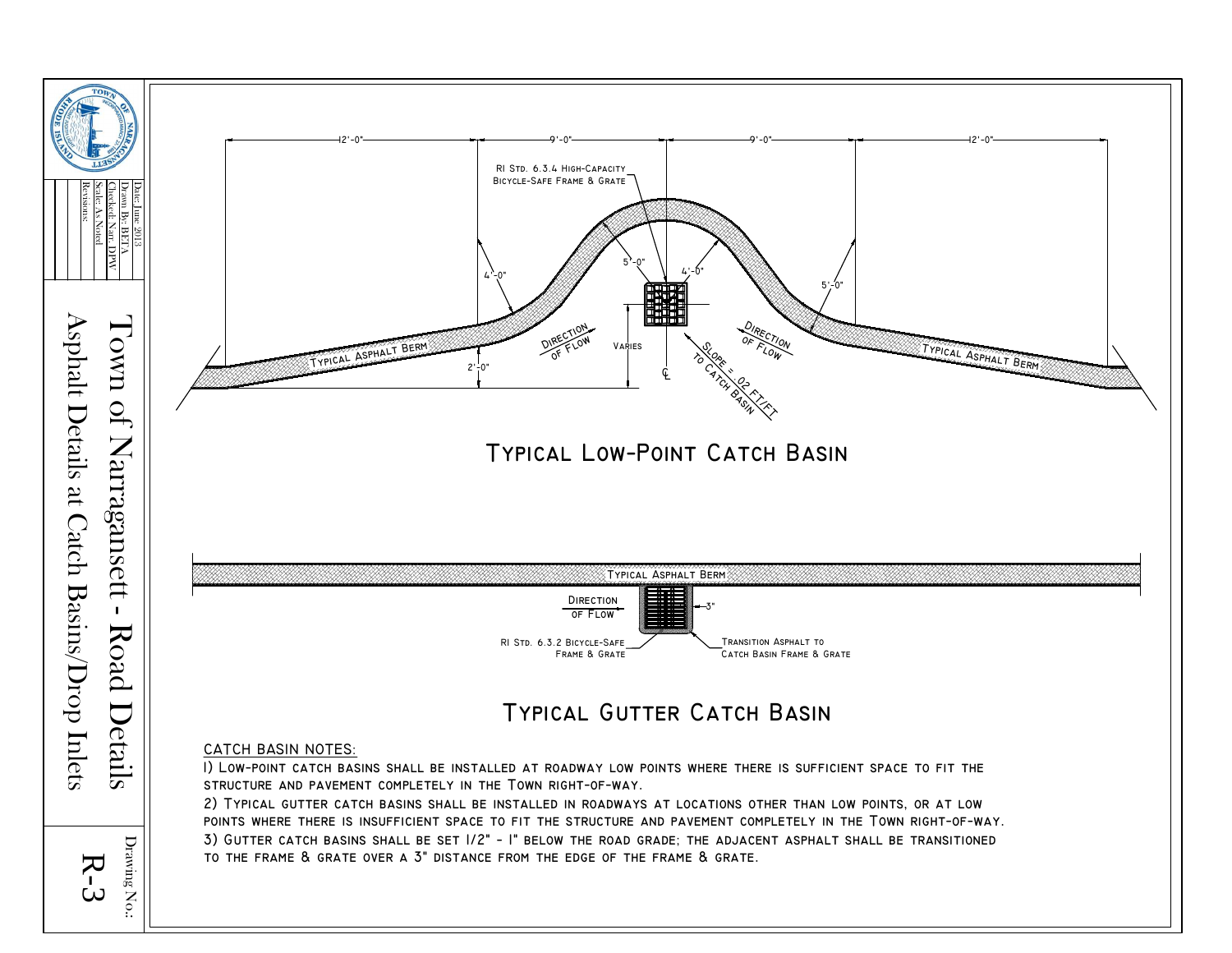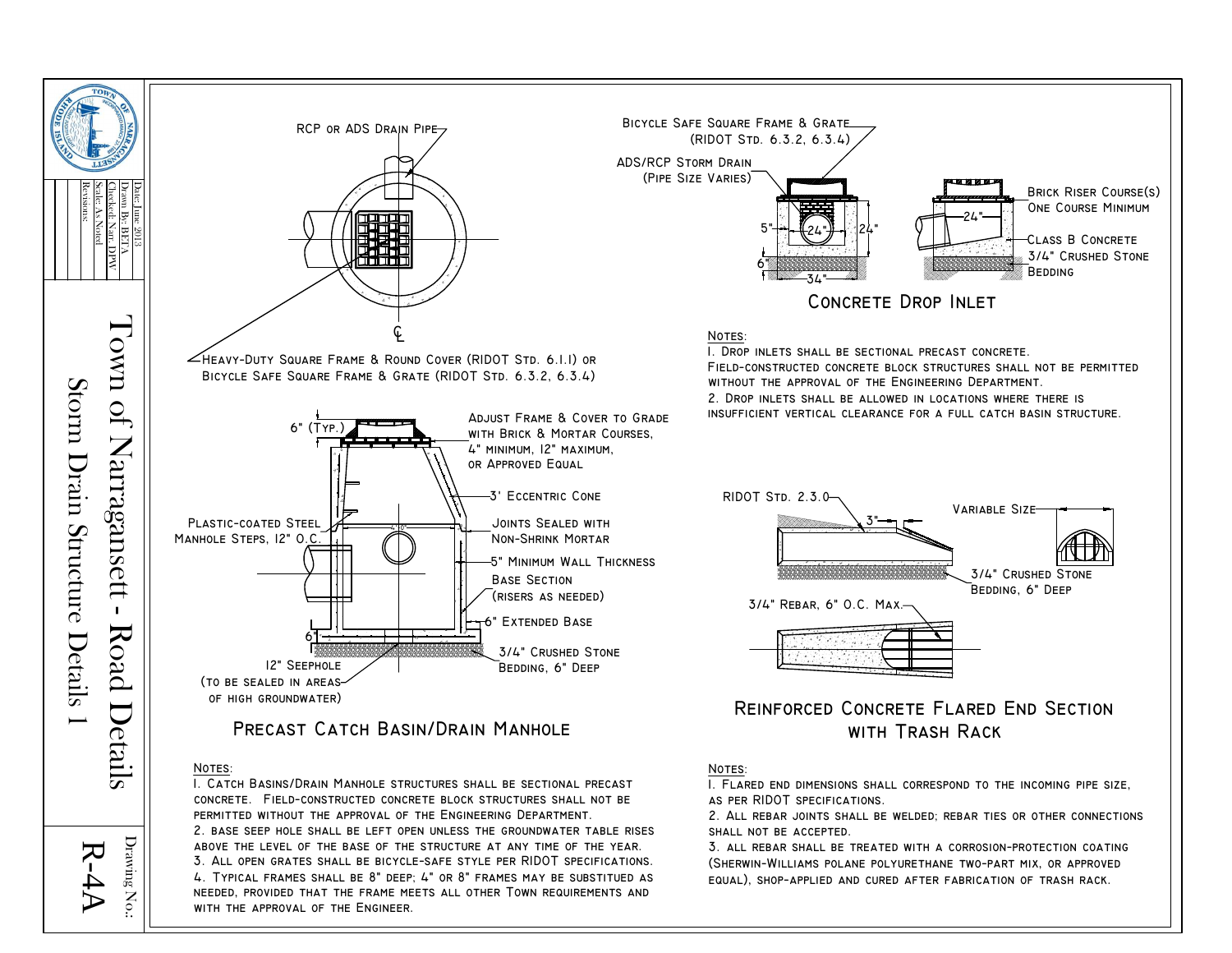

NEEDED, PROVIDED THAT THE FRAME MEETS ALL OTHER TOWN REQUIREMENTS AND

WITH THE APPROVAL OF THE ENGINEER.

 $R-4A$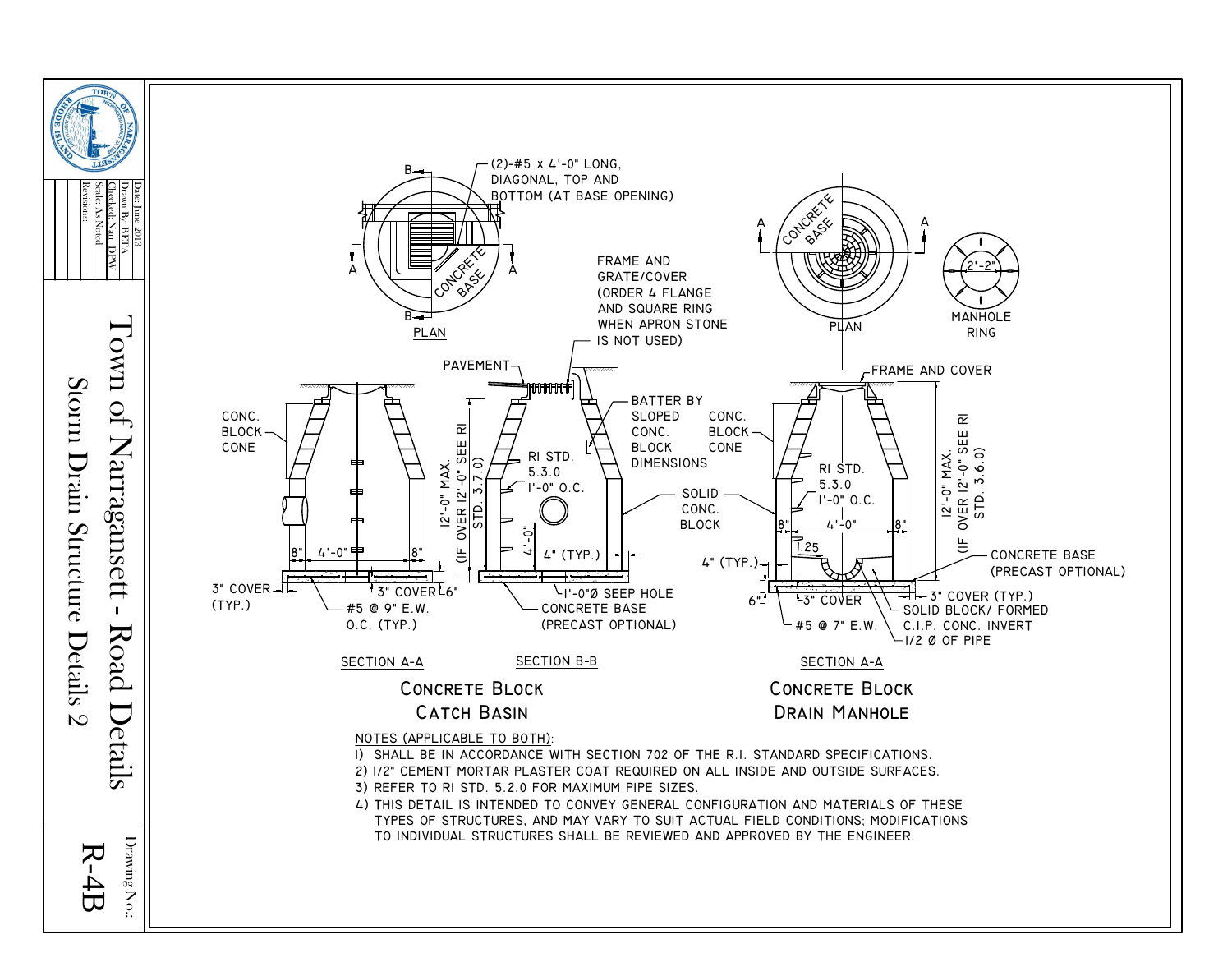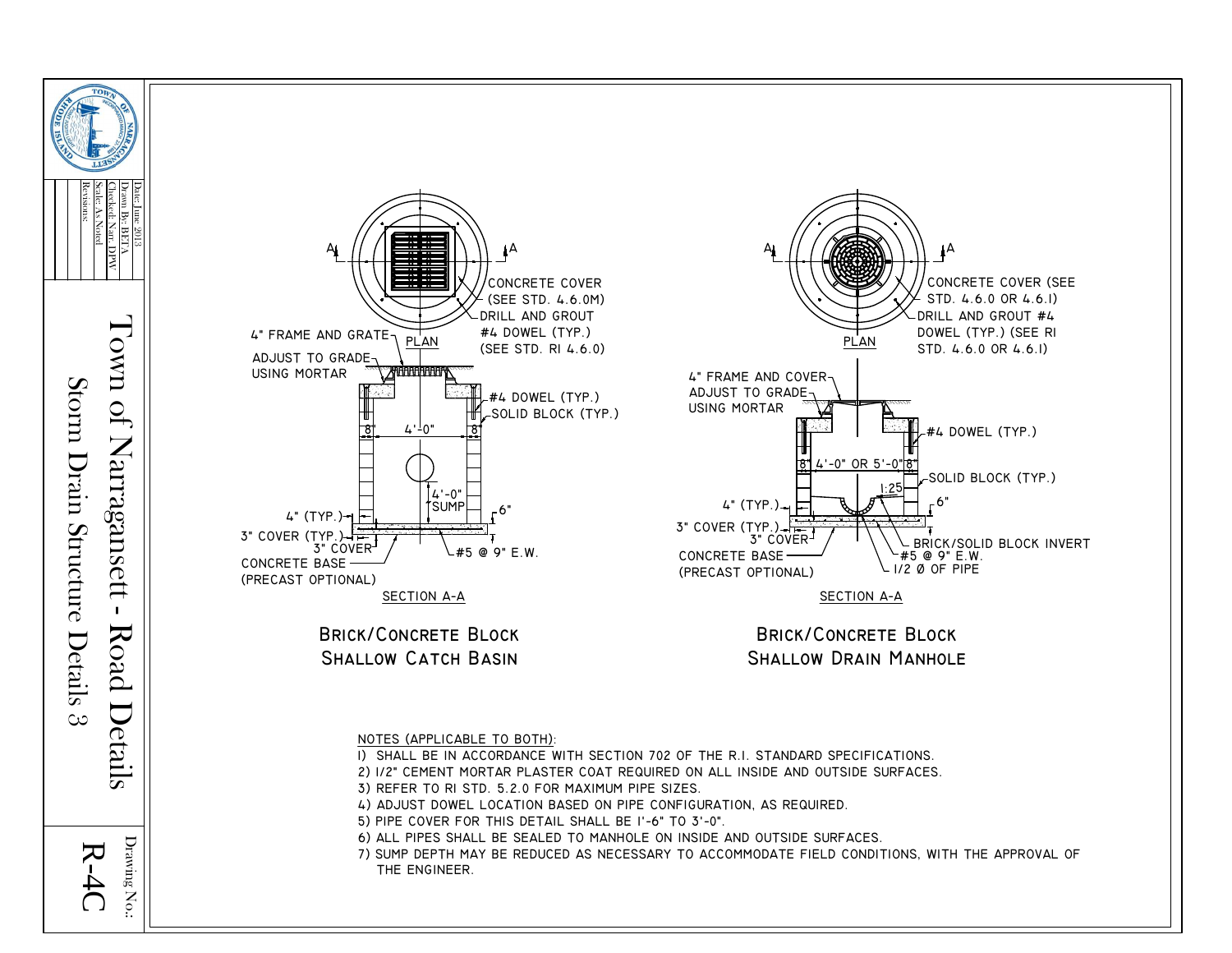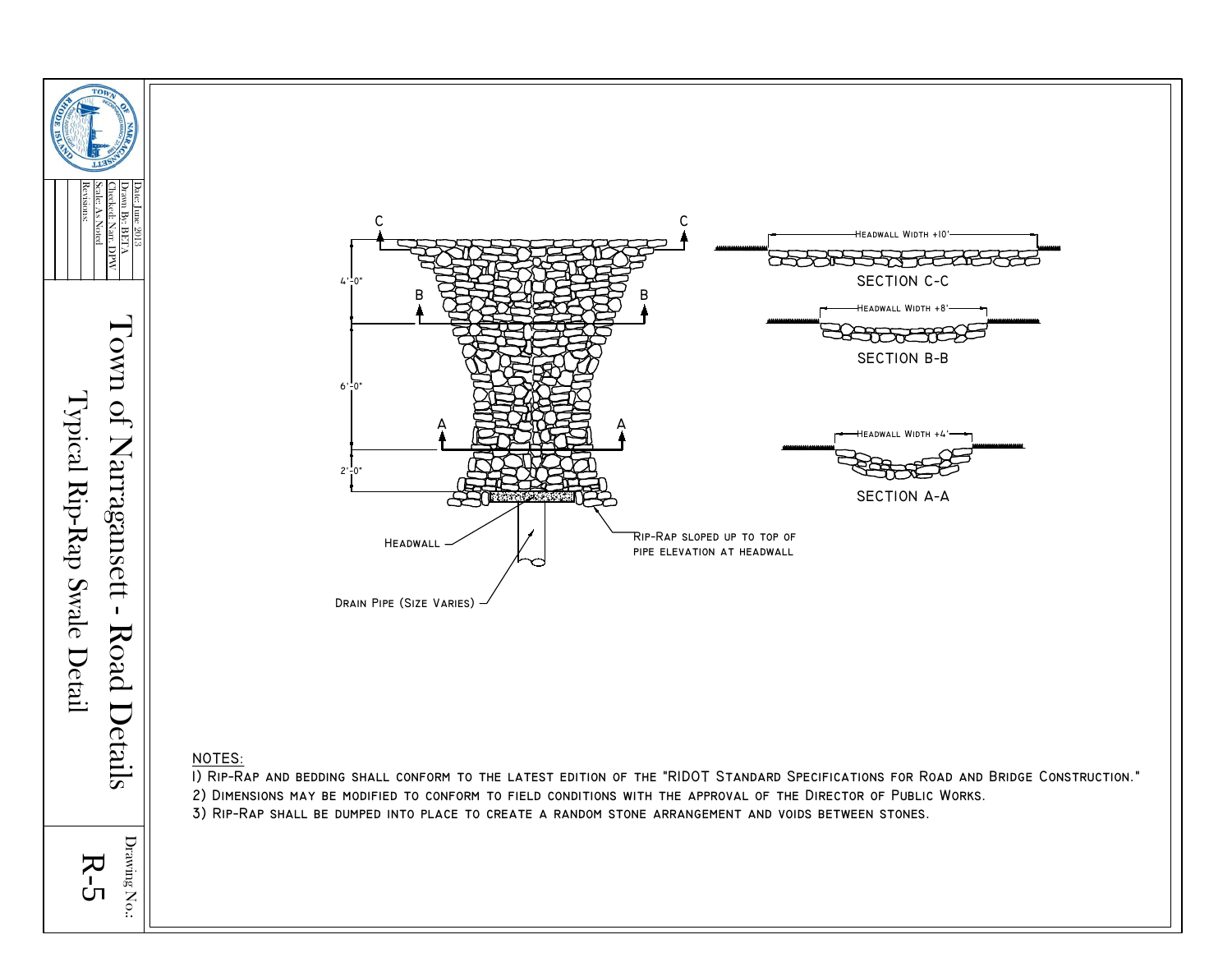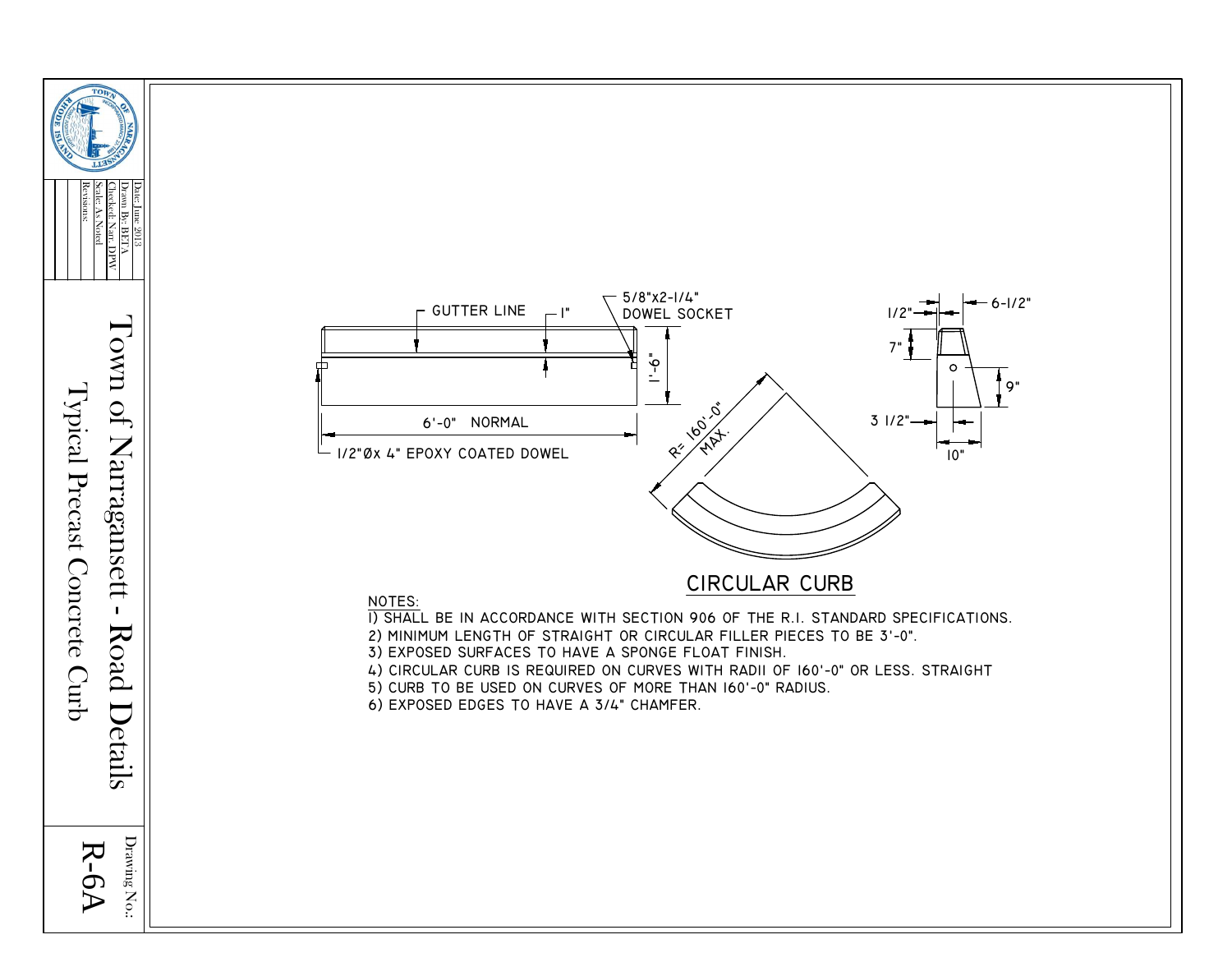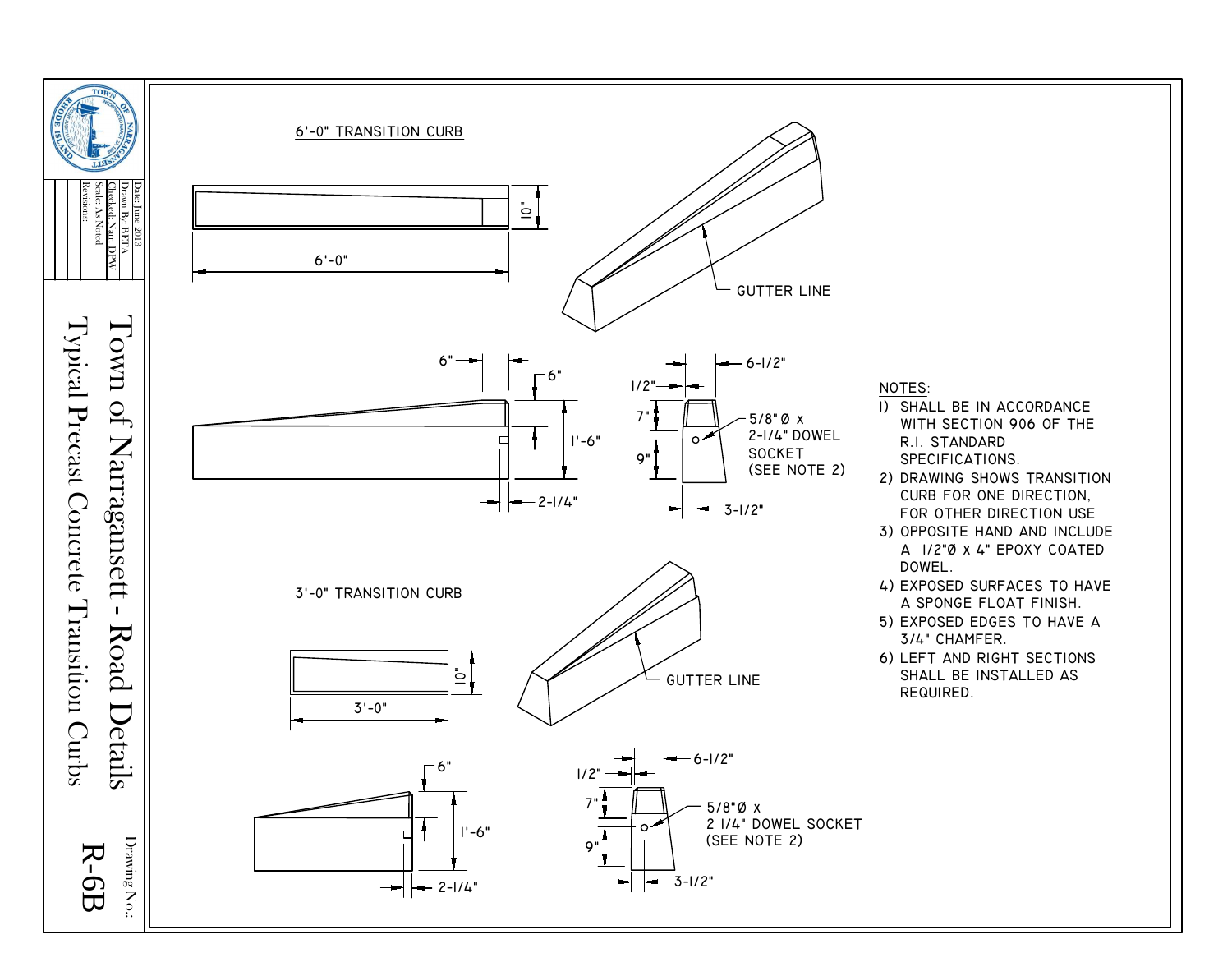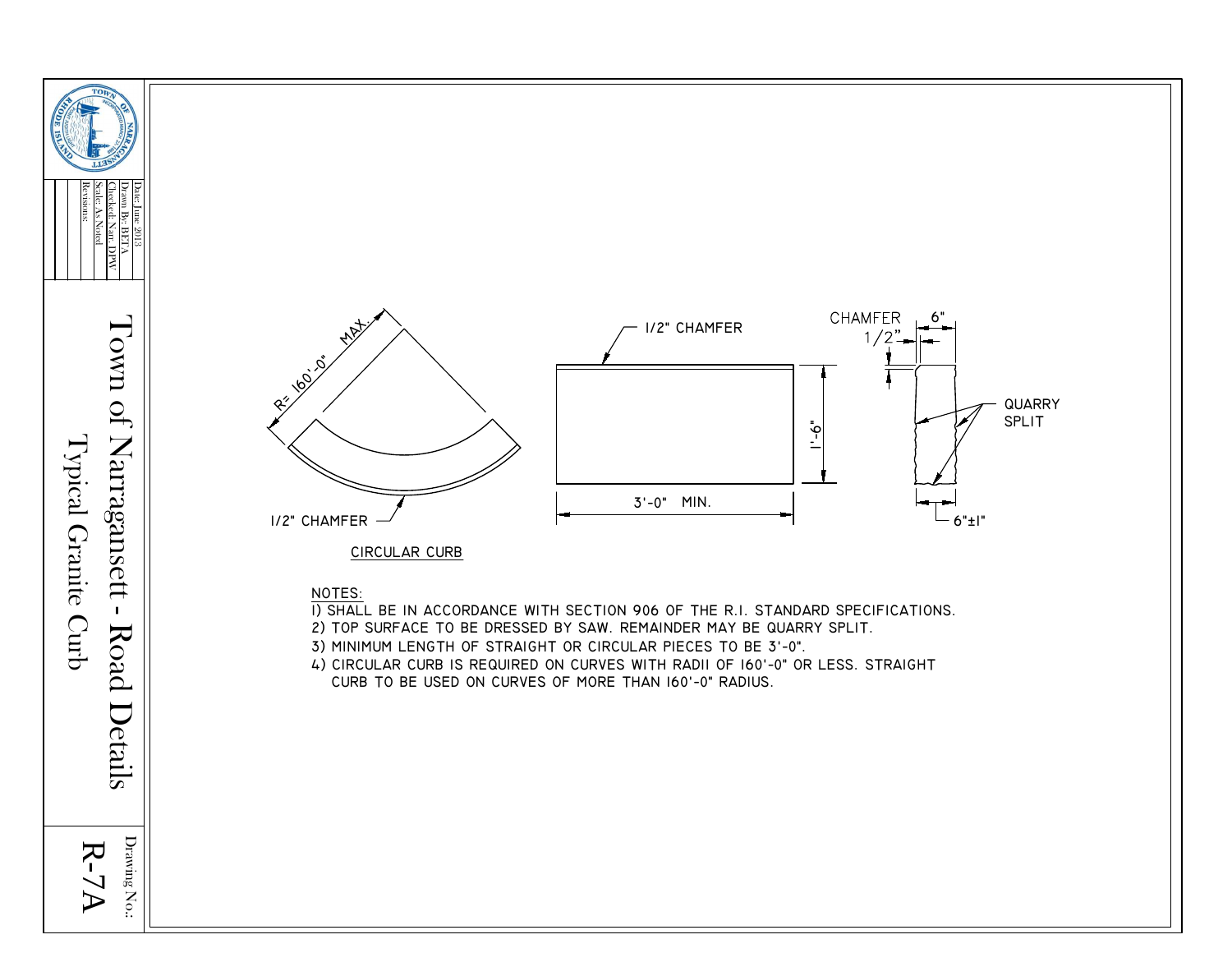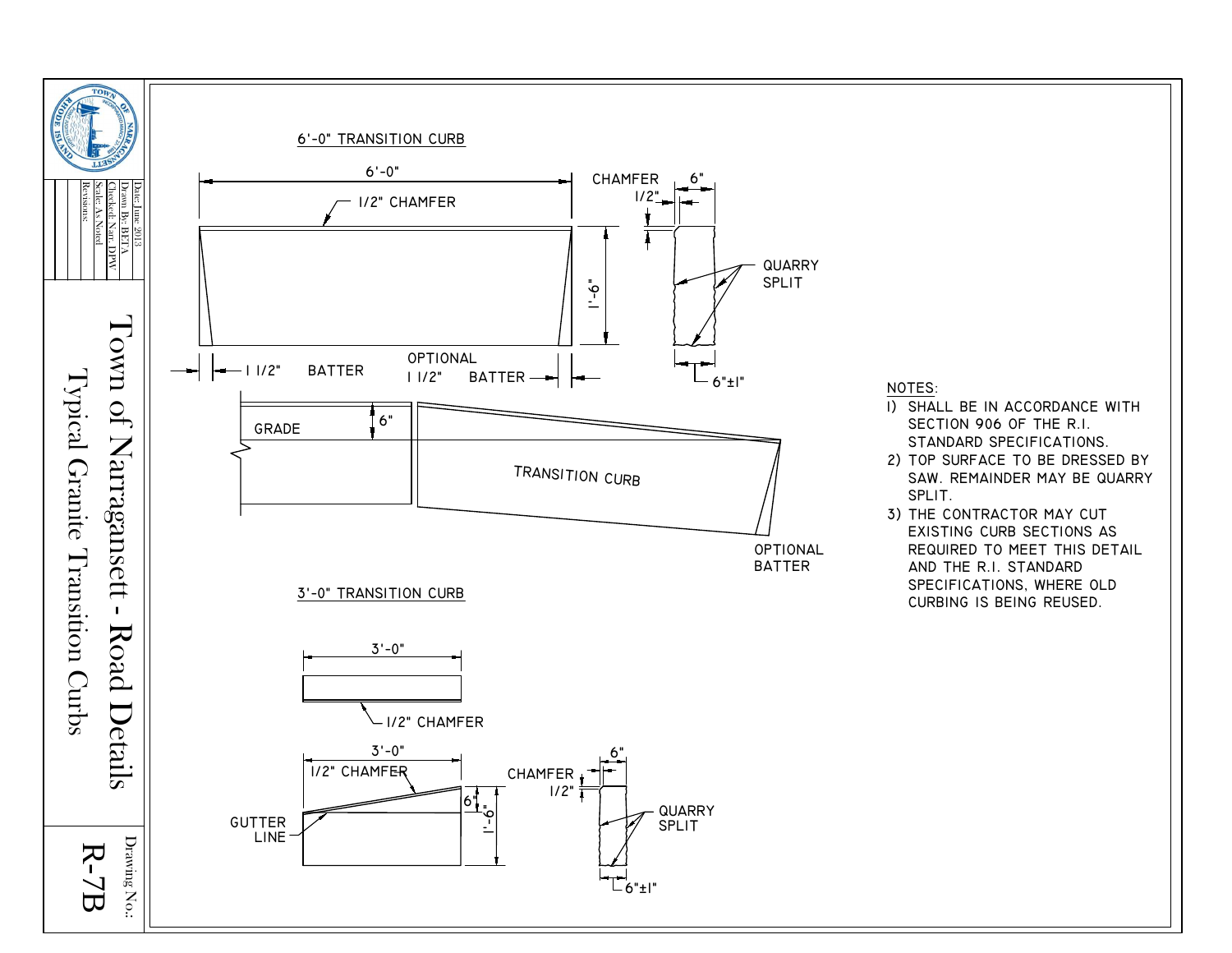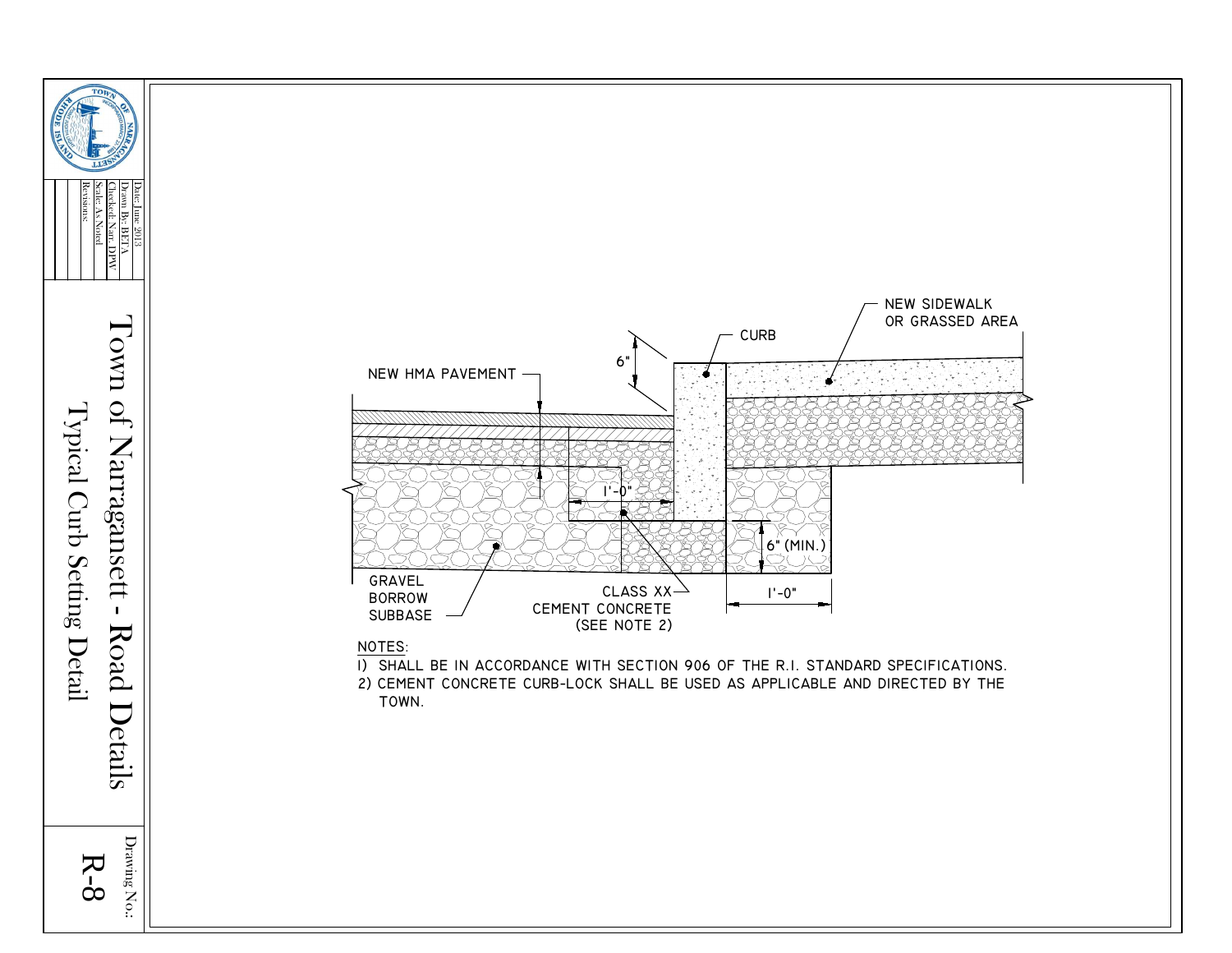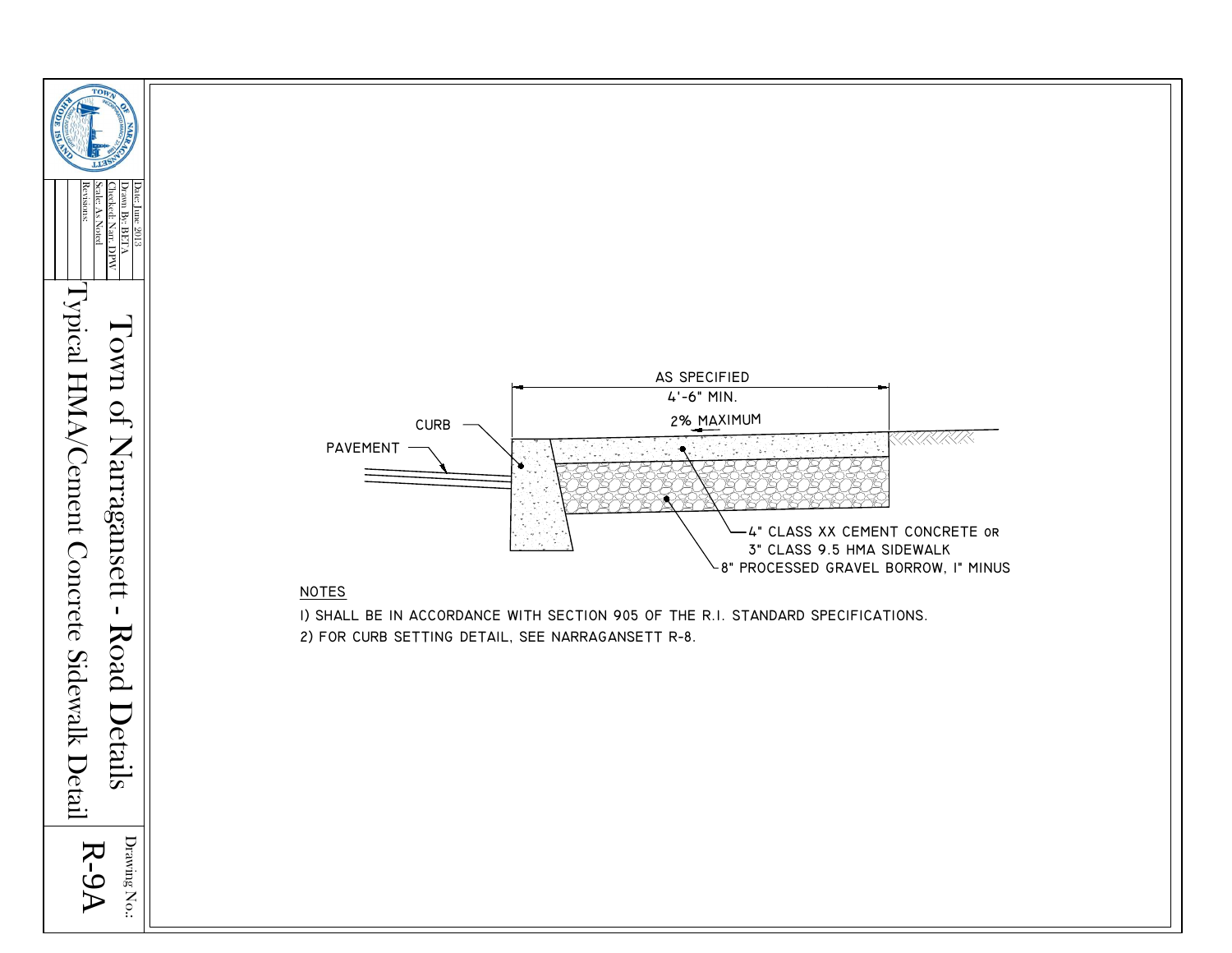

Drawing No.: R-9A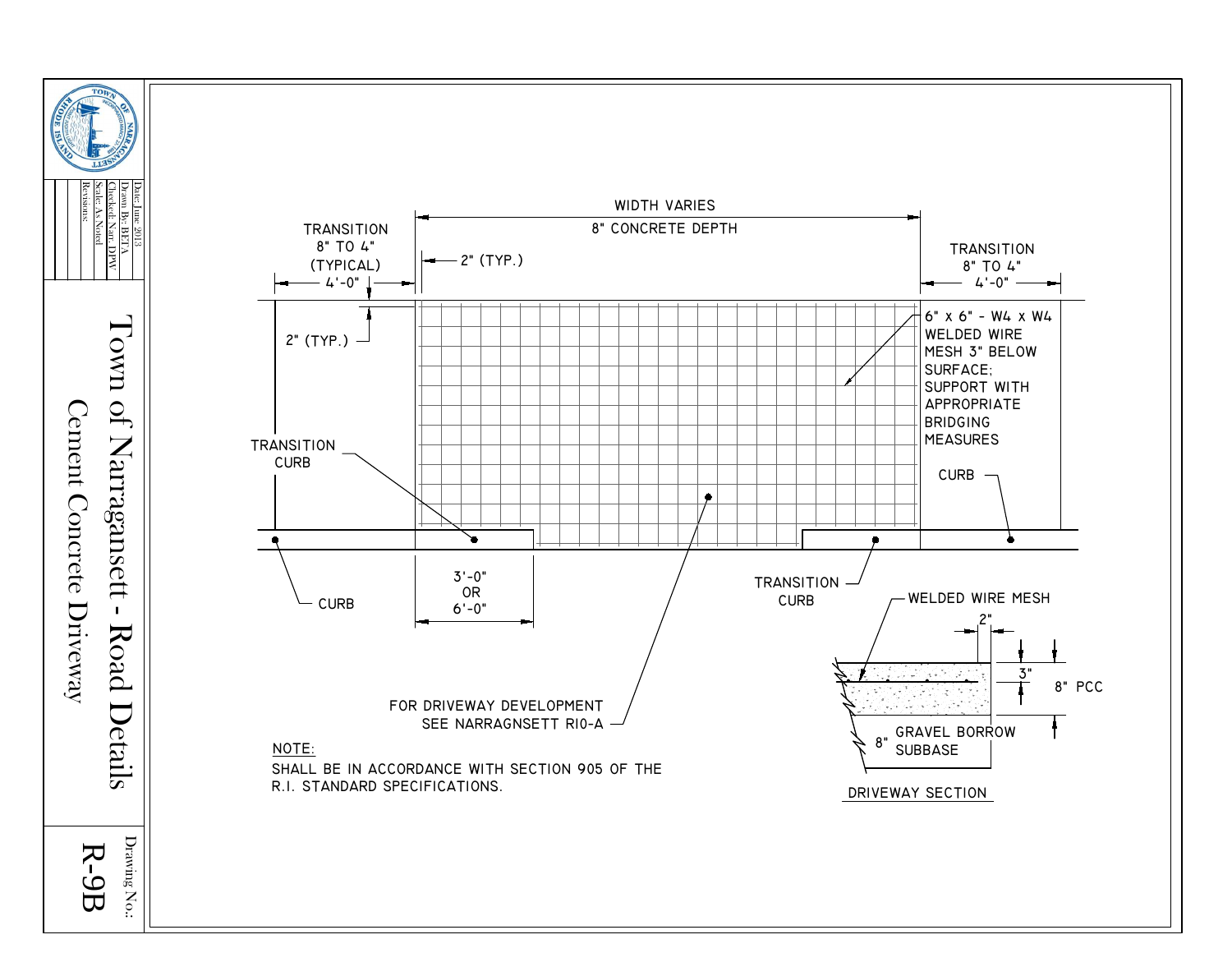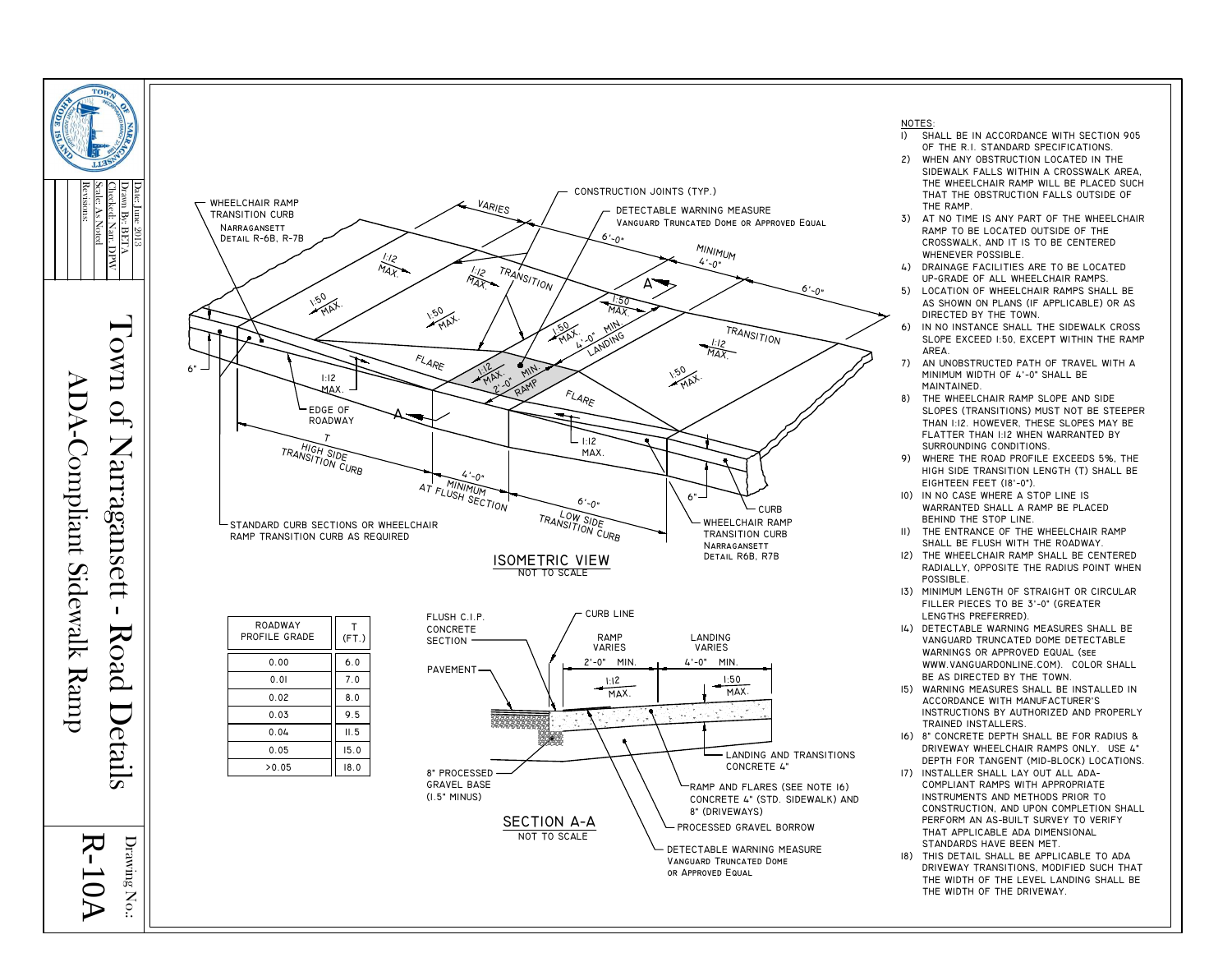